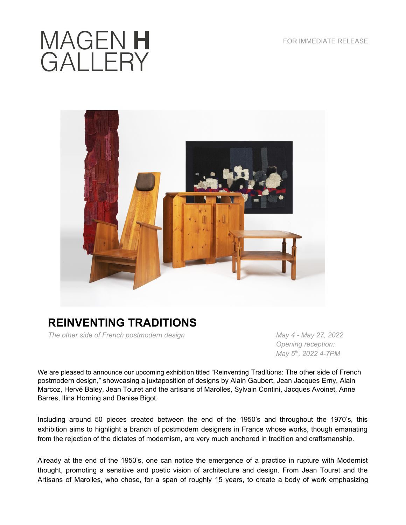## MAGEN H<br>GALLERY



## **REINVENTING TRADITIONS**

*The other side of French postmodern design* May 27, 2022 May 27, 2022

 *Opening reception: May 5th, 2022 4-7PM*

We are pleased to announce our upcoming exhibition titled "Reinventing Traditions: The other side of French postmodern design," showcasing a juxtaposition of designs by Alain Gaubert, Jean Jacques Erny, Alain Marcoz, Hervé Baley, Jean Touret and the artisans of Marolles, Sylvain Contini, Jacques Avoinet, Anne Barres, Ilina Horning and Denise Bigot.

Including around 50 pieces created between the end of the 1950's and throughout the 1970's, this exhibition aims to highlight a branch of postmodern designers in France whose works, though emanating from the rejection of the dictates of modernism, are very much anchored in tradition and craftsmanship.

Already at the end of the 1950's, one can notice the emergence of a practice in rupture with Modernist thought, promoting a sensitive and poetic vision of architecture and design. From Jean Touret and the Artisans of Marolles, who chose, for a span of roughly 15 years, to create a body of work emphasizing